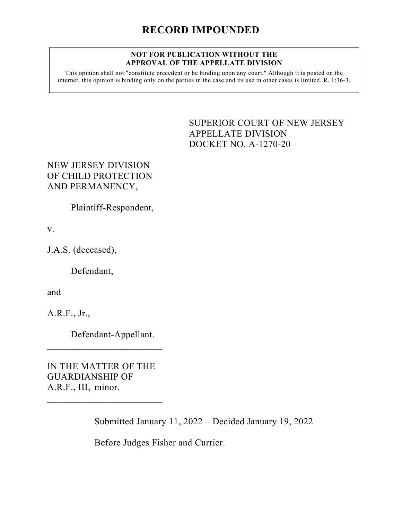## **NOT FOR PUBLICATION WITHOUT THE APPROVAL OF THE APPELLATE DIVISION**

This opinion shall not "constitute precedent or be binding upon any court." Although it is posted on the internet, this opinion is binding only on the parties in the case and its use in other cases is limited. R. 1:36-3.

> <span id="page-0-0"></span>SUPERIOR COURT OF NEW JERSEY APPELLATE DIVISION DOCKET NO. A-1270-20

NEW JERSEY DIVISION OF CHILD PROTECTION AND PERMANENCY,

Plaintiff-Respondent,

v.

J.A.S. (deceased),

Defendant,

and

A.R.F., Jr.,

Defendant-Appellant.

IN THE MATTER OF THE GUARDIANSHIP OF A.R.F., III, minor.

 $\overline{\phantom{a}}$  , which is a set of the set of the set of the set of the set of the set of the set of the set of the set of the set of the set of the set of the set of the set of the set of the set of the set of the set of th

 $\overline{\phantom{a}}$  , which is a set of the set of the set of the set of the set of the set of the set of the set of the set of the set of the set of the set of the set of the set of the set of the set of the set of the set of th

Submitted January 11, 2022 – Decided January 19, 2022

Before Judges Fisher and Currier.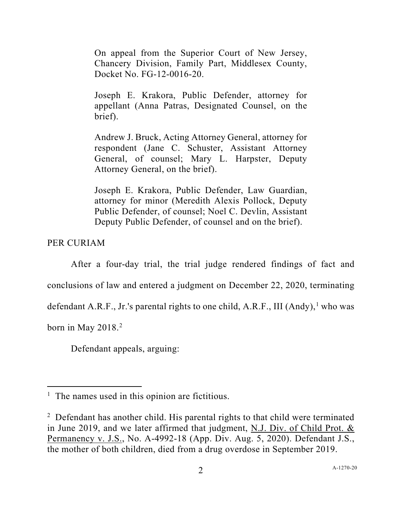On appeal from the Superior Court of New Jersey, Chancery Division, Family Part, Middlesex County, Docket No. FG-12-0016-20.

Joseph E. Krakora, Public Defender, attorney for appellant (Anna Patras, Designated Counsel, on the brief).

Andrew J. Bruck, Acting Attorney General, attorney for respondent (Jane C. Schuster, Assistant Attorney General, of counsel; Mary L. Harpster, Deputy Attorney General, on the brief).

Joseph E. Krakora, Public Defender, Law Guardian, attorney for minor (Meredith Alexis Pollock, Deputy Public Defender, of counsel; Noel C. Devlin, Assistant Deputy Public Defender, of counsel and on the brief).

PER CURIAM

After a four-day trial, the trial judge rendered findings of fact and conclusions of law and entered a judgment on December 22, 2020, terminating defendant A.R.F., Jr.'s parental rights to one child, A.R.F., III (Andy),<sup>[1](#page-1-0)</sup> who was born in May [2](#page-1-1)018.<sup>2</sup>

Defendant appeals, arguing:

<span id="page-1-0"></span> $<sup>1</sup>$  The names used in this opinion are fictitious.</sup>

<span id="page-1-1"></span><sup>&</sup>lt;sup>2</sup> Defendant has another child. His parental rights to that child were terminated in June 2019, and we later affirmed that judgment, N.J. Div. of Child Prot. & Permanency v. J.S., No. A-4992-18 (App. Div. Aug. 5, 2020). Defendant J.S., the mother of both children, died from a drug overdose in September 2019.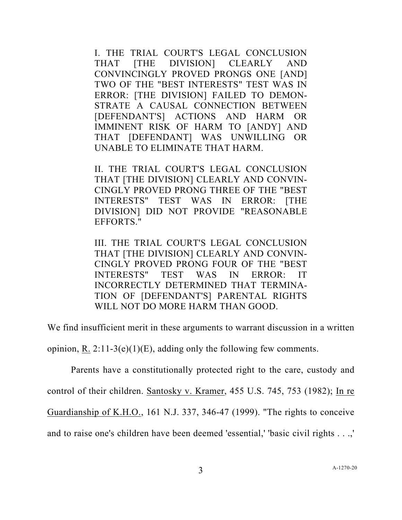I. THE TRIAL COURT'S LEGAL CONCLUSION THAT [THE DIVISION] CLEARLY AND CONVINCINGLY PROVED PRONGS ONE [AND] TWO OF THE "BEST INTERESTS" TEST WAS IN ERROR: [THE DIVISION] FAILED TO DEMON-STRATE A CAUSAL CONNECTION BETWEEN [DEFENDANT'S] ACTIONS AND HARM OR IMMINENT RISK OF HARM TO [ANDY] AND THAT [DEFENDANT] WAS UNWILLING OR UNABLE TO ELIMINATE THAT HARM.

II. THE TRIAL COURT'S LEGAL CONCLUSION THAT [THE DIVISION] CLEARLY AND CONVIN-CINGLY PROVED PRONG THREE OF THE "BEST INTERESTS" TEST WAS IN ERROR: [THE DIVISION] DID NOT PROVIDE "REASONABLE EFFORTS."

III. THE TRIAL COURT'S LEGAL CONCLUSION THAT [THE DIVISION] CLEARLY AND CONVIN-CINGLY PROVED PRONG FOUR OF THE "BEST INTERESTS" TEST WAS IN ERROR: IT INCORRECTLY DETERMINED THAT TERMINA-TION OF [DEFENDANT'S] PARENTAL RIGHTS WILL NOT DO MORE HARM THAN GOOD.

We find insufficient merit in these arguments to warrant discussion in a written

opinion, R. 2:11-3(e)(1)(E), adding only the following few comments.

Parents have a constitutionally protected right to the care, custody and control of their children. Santosky v. Kramer, 455 U.S. 745, 753 (1982); In re Guardianship of K.H.O., 161 N.J. 337, 346-47 (1999). "The rights to conceive and to raise one's children have been deemed 'essential,' 'basic civil rights . . .,'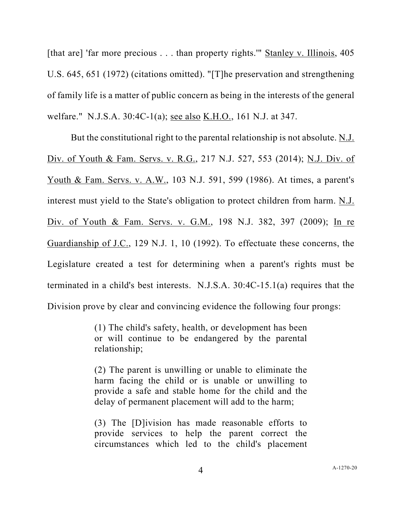[that are] 'far more precious . . . than property rights.'" Stanley v. Illinois, 405 U.S. 645, 651 (1972) (citations omitted). "[T]he preservation and strengthening of family life is a matter of public concern as being in the interests of the general welfare." N.J.S.A. 30:4C-1(a); see also K.H.O., 161 N.J. at 347.

But the constitutional right to the parental relationship is not absolute.  $N.I.$ Div. of Youth & Fam. Servs. v. R.G., 217 N.J. 527, 553 (2014); N.J. Div. of Youth & Fam. Servs. v. A.W<sub>.</sub>, 103 N.J. 591, 599 (1986). At times, a parent's interest must yield to the State's obligation to protect children from harm. N.J. Div. of Youth & Fam. Servs. v. G.M., 198 N.J. 382, 397 (2009); In re Guardianship of J.C., 129 N.J. 1, 10 (1992). To effectuate these concerns, the Legislature created a test for determining when a parent's rights must be terminated in a child's best interests. N.J.S.A. 30:4C-15.1(a) requires that the Division prove by clear and convincing evidence the following four prongs:

> (1) The child's safety, health, or development has been or will continue to be endangered by the parental relationship;

> (2) The parent is unwilling or unable to eliminate the harm facing the child or is unable or unwilling to provide a safe and stable home for the child and the delay of permanent placement will add to the harm;

> (3) The [D]ivision has made reasonable efforts to provide services to help the parent correct the circumstances which led to the child's placement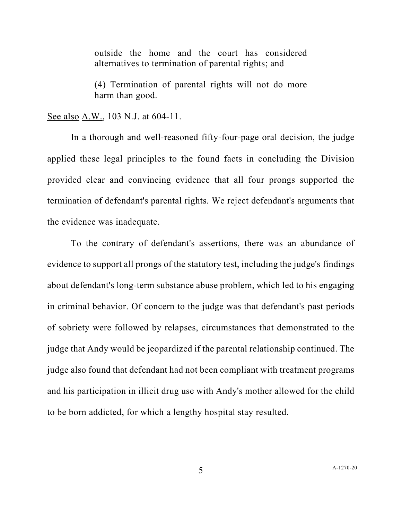outside the home and the court has considered alternatives to termination of parental rights; and

(4) Termination of parental rights will not do more harm than good.

See also A.W., 103 N.J. at 604-11.

In a thorough and well-reasoned fifty-four-page oral decision, the judge applied these legal principles to the found facts in concluding the Division provided clear and convincing evidence that all four prongs supported the termination of defendant's parental rights. We reject defendant's arguments that the evidence was inadequate.

To the contrary of defendant's assertions, there was an abundance of evidence to support all prongs of the statutory test, including the judge's findings about defendant's long-term substance abuse problem, which led to his engaging in criminal behavior. Of concern to the judge was that defendant's past periods of sobriety were followed by relapses, circumstances that demonstrated to the judge that Andy would be jeopardized if the parental relationship continued. The judge also found that defendant had not been compliant with treatment programs and his participation in illicit drug use with Andy's mother allowed for the child to be born addicted, for which a lengthy hospital stay resulted.